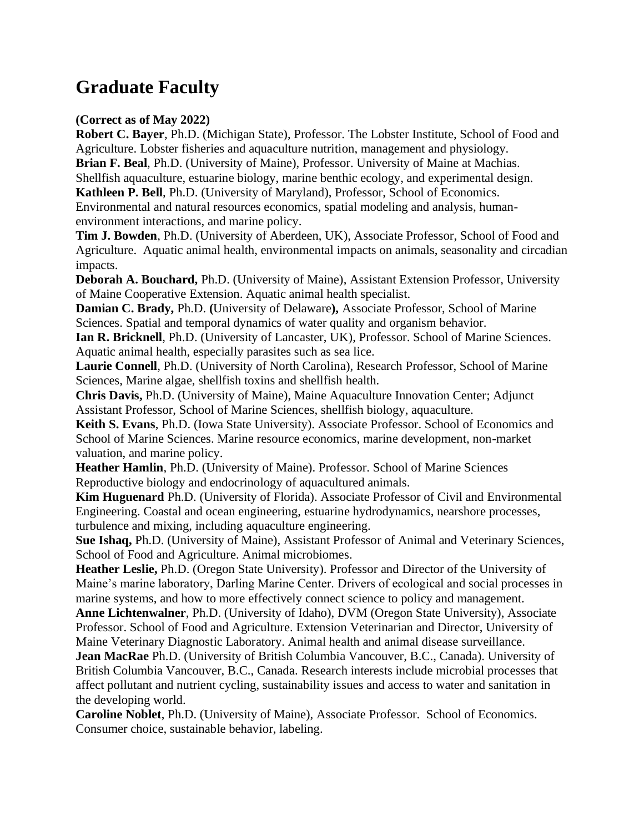## **Graduate Faculty**

## **(Correct as of May 2022)**

**Robert C. Bayer**, Ph.D. (Michigan State), Professor. The Lobster Institute, School of Food and Agriculture. Lobster fisheries and aquaculture nutrition, management and physiology.

**Brian F. Beal**, Ph.D. (University of Maine), Professor. University of Maine at Machias. Shellfish aquaculture, estuarine biology, marine benthic ecology, and experimental design.

**Kathleen P. Bell**, Ph.D. (University of Maryland), Professor, School of Economics.

Environmental and natural resources economics, spatial modeling and analysis, humanenvironment interactions, and marine policy.

**Tim J. Bowden**, Ph.D. (University of Aberdeen, UK), Associate Professor, School of Food and Agriculture. Aquatic animal health, environmental impacts on animals, seasonality and circadian impacts.

**Deborah A. Bouchard,** Ph.D. (University of Maine), Assistant Extension Professor, University of Maine Cooperative Extension. Aquatic animal health specialist.

**Damian C. Brady,** Ph.D. **(**University of Delaware**),** Associate Professor, School of Marine Sciences. Spatial and temporal dynamics of water quality and organism behavior.

**Ian R. Bricknell**, Ph.D. (University of Lancaster, UK), Professor. School of Marine Sciences. Aquatic animal health, especially parasites such as sea lice.

**Laurie Connell**, Ph.D. (University of North Carolina), Research Professor, School of Marine Sciences, Marine algae, shellfish toxins and shellfish health.

**Chris Davis,** Ph.D. (University of Maine), Maine Aquaculture Innovation Center; Adjunct Assistant Professor, School of Marine Sciences, shellfish biology, aquaculture.

**Keith S. Evans**, Ph.D. (Iowa State University). Associate Professor. School of Economics and School of Marine Sciences. Marine resource economics, marine development, non-market valuation, and marine policy.

**Heather Hamlin**, Ph.D. (University of Maine). Professor. School of Marine Sciences Reproductive biology and endocrinology of aquacultured animals.

**Kim Huguenard** Ph.D. (University of Florida). Associate Professor of Civil and Environmental Engineering. Coastal and ocean engineering, estuarine hydrodynamics, nearshore processes, turbulence and mixing, including aquaculture engineering.

**Sue Ishaq,** Ph.D. (University of Maine), Assistant Professor of Animal and Veterinary Sciences, School of Food and Agriculture. Animal microbiomes.

**Heather Leslie,** Ph.D. (Oregon State University). Professor and Director of the University of Maine's marine laboratory, Darling Marine Center. Drivers of ecological and social processes in marine systems, and how to more effectively connect science to policy and management.

**Anne Lichtenwalner**, Ph.D. (University of Idaho), DVM (Oregon State University), Associate Professor. School of Food and Agriculture. Extension Veterinarian and Director, University of Maine Veterinary Diagnostic Laboratory. Animal health and animal disease surveillance.

**Jean MacRae** Ph.D. (University of British Columbia Vancouver, B.C., Canada). University of British Columbia Vancouver, B.C., Canada. Research interests include microbial processes that affect pollutant and nutrient cycling, sustainability issues and access to water and sanitation in the developing world.

**Caroline Noblet**, Ph.D. (University of Maine), Associate Professor. School of Economics. Consumer choice, sustainable behavior, labeling.